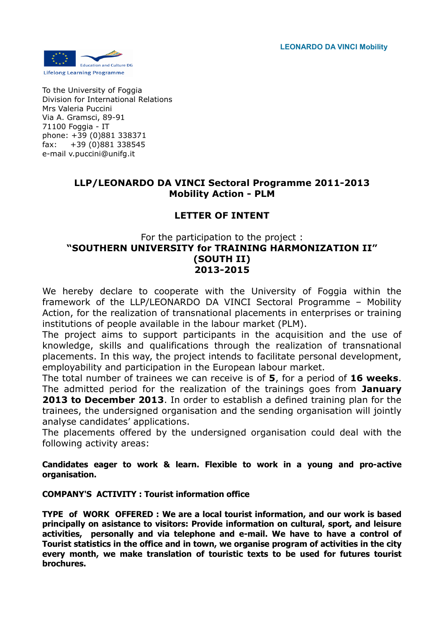**LEONARDO DA VINCI Mobility**



To the University of Foggia Division for International Relations Mrs Valeria Puccini Via A. Gramsci, 89-91 71100 Foggia - IT phone: +39 (0)881 338371 fax: +39 (0)881 338545 e-mail v.puccini@unifg.it

## **LLP/LEONARDO DA VINCI Sectoral Programme 2011-2013 Mobility Action - PLM**

# **LETTER OF INTENT**

## For the participation to the project : **"SOUTHERN UNIVERSITY for TRAINING HARMONIZATION II" (SOUTH II) 2013-2015**

We hereby declare to cooperate with the University of Foggia within the framework of the LLP/LEONARDO DA VINCI Sectoral Programme – Mobility Action, for the realization of transnational placements in enterprises or training institutions of people available in the labour market (PLM).

The project aims to support participants in the acquisition and the use of knowledge, skills and qualifications through the realization of transnational placements. In this way, the project intends to facilitate personal development, employability and participation in the European labour market.

The total number of trainees we can receive is of **5**, for a period of **16 weeks**. The admitted period for the realization of the trainings goes from **January 2013 to December 2013**. In order to establish a defined training plan for the trainees, the undersigned organisation and the sending organisation will jointly analyse candidates' applications.

The placements offered by the undersigned organisation could deal with the following activity areas:

**Candidates eager to work & learn. Flexible to work in a young and pro-active organisation.**

## **COMPANY'S ACTIVITY : Tourist information office**

**TYPE of WORK OFFERED : We are a local tourist information, and our work is based principally on asistance to visitors: Provide information on cultural, sport, and leisure activities, personally and via telephone and e-mail. We have to have a control of Tourist statistics in the office and in town, we organise program of activities in the city every month, we make translation of touristic texts to be used for futures tourist brochures.**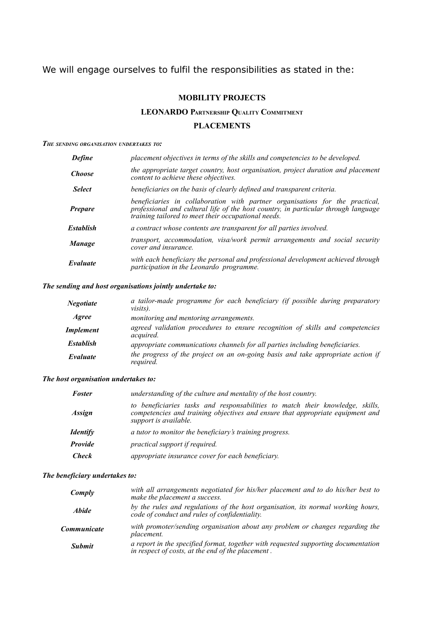# We will engage ourselves to fulfil the responsibilities as stated in the:

## **MOBILITY PROJECTS**

## **LEOARDO PARTERSHIP QUALITY COMMITMET**

#### **PLACEMETS**

#### *THE SEDIG ORGAISATIO UDERTAKES TO:*

| <b>Define</b>    | placement objectives in terms of the skills and competencies to be developed.                                                                                                                                             |
|------------------|---------------------------------------------------------------------------------------------------------------------------------------------------------------------------------------------------------------------------|
| <b>Choose</b>    | the appropriate target country, host organisation, project duration and placement<br>content to achieve these objectives.                                                                                                 |
| <b>Select</b>    | beneficiaries on the basis of clearly defined and transparent criteria.                                                                                                                                                   |
| <b>Prepare</b>   | beneficiaries in collaboration with partner organisations for the practical,<br>professional and cultural life of the host country, in particular through language<br>training tailored to meet their occupational needs. |
| <b>Establish</b> | a contract whose contents are transparent for all parties involved.                                                                                                                                                       |
| <b>Manage</b>    | transport, accommodation, visa/work permit arrangements and social security<br>cover and insurance.                                                                                                                       |
| Evaluate         | with each beneficiary the personal and professional development achieved through<br>participation in the Leonardo programme.                                                                                              |
|                  |                                                                                                                                                                                                                           |

#### *The sending and host organisations jointly undertake to:*

| <b>Negotiate</b> | a tailor-made programme for each beneficiary (if possible during preparatory<br><i>visits</i> ).  |
|------------------|---------------------------------------------------------------------------------------------------|
| Agree            | monitoring and mentoring arrangements.                                                            |
| Implement        | agreed validation procedures to ensure recognition of skills and competencies<br><i>acquired.</i> |
| <b>Establish</b> | appropriate communications channels for all parties including beneficiaries.                      |
| Evaluate         | the progress of the project on an on-going basis and take appropriate action if<br>required.      |

#### *The host organisation undertakes to:*

| <b>Foster</b>   | understanding of the culture and mentality of the host country.                                                                                                                          |
|-----------------|------------------------------------------------------------------------------------------------------------------------------------------------------------------------------------------|
| <b>Assign</b>   | to beneficiaries tasks and responsabilities to match their knowledge, skills,<br>competencies and training objectives and ensure that appropriate equipment and<br>support is available. |
| <b>Identify</b> | a tutor to monitor the beneficiary's training progress.                                                                                                                                  |
| Provide         | practical support if required.                                                                                                                                                           |
| <b>Check</b>    | appropriate insurance cover for each beneficiary.                                                                                                                                        |

#### *The beneficiary undertakes to:*

| Comply              | with all arrangements negotiated for his/her placement and to do his/her best to<br>make the placement a success.                       |
|---------------------|-----------------------------------------------------------------------------------------------------------------------------------------|
| <i><b>Abide</b></i> | by the rules and regulations of the host organisation, its normal working hours,<br>code of conduct and rules of confidentiality.       |
| Communicate         | with promoter/sending organisation about any problem or changes regarding the<br><i>placement.</i>                                      |
| <b>Submit</b>       | a report in the specified format, together with requested supporting documentation<br>in respect of costs, at the end of the placement. |